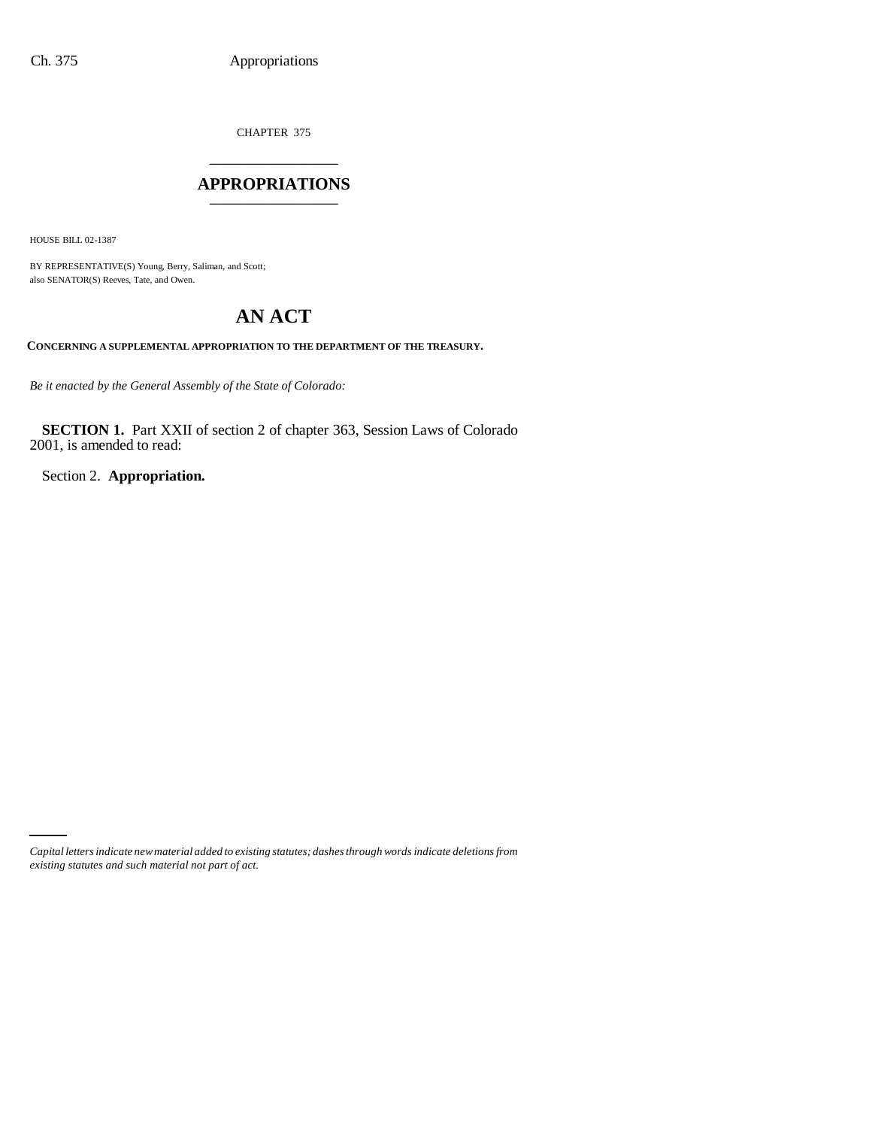CHAPTER 375

# \_\_\_\_\_\_\_\_\_\_\_\_\_\_\_ **APPROPRIATIONS** \_\_\_\_\_\_\_\_\_\_\_\_\_\_\_

HOUSE BILL 02-1387

BY REPRESENTATIVE(S) Young, Berry, Saliman, and Scott; also SENATOR(S) Reeves, Tate, and Owen.

# **AN ACT**

**CONCERNING A SUPPLEMENTAL APPROPRIATION TO THE DEPARTMENT OF THE TREASURY.**

*Be it enacted by the General Assembly of the State of Colorado:*

**SECTION 1.** Part XXII of section 2 of chapter 363, Session Laws of Colorado 2001, is amended to read:

Section 2. **Appropriation.**

*Capital letters indicate new material added to existing statutes; dashes through words indicate deletions from existing statutes and such material not part of act.*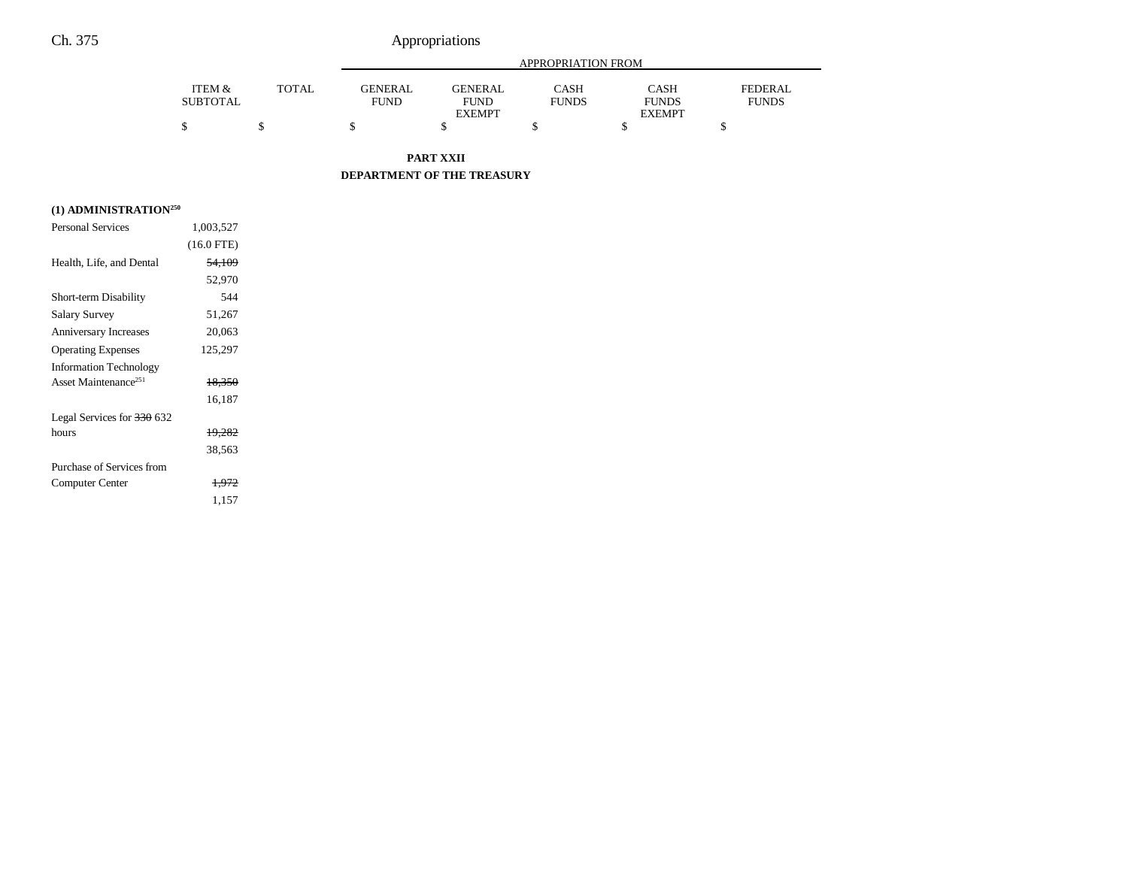# Ch. 375 Appropriations

|                 |              | APPROPRIATION FROM |                |              |               |              |
|-----------------|--------------|--------------------|----------------|--------------|---------------|--------------|
| ITEM &          | <b>TOTAL</b> | <b>GENERAL</b>     | <b>GENERAL</b> | CASH         | CASH          | FEDERAL      |
| <b>SUBTOTAL</b> |              | <b>FUND</b>        | FUND           | <b>FUNDS</b> | <b>FUNDS</b>  | <b>FUNDS</b> |
|                 |              |                    | <b>EXEMPT</b>  |              | <b>EXEMPT</b> |              |
|                 |              |                    |                |              |               |              |

**PART XXII**

**DEPARTMENT OF THE TREASURY**

## **(1) ADMINISTRATION250**

| <b>Personal Services</b>         | 1,003,527         |  |
|----------------------------------|-------------------|--|
|                                  | $(16.0$ FTE)      |  |
| Health, Life, and Dental         | <del>54,109</del> |  |
|                                  | 52,970            |  |
| Short-term Disability            | 544               |  |
| <b>Salary Survey</b>             | 51,267            |  |
| <b>Anniversary Increases</b>     | 20,063            |  |
| <b>Operating Expenses</b>        | 125,297           |  |
| <b>Information Technology</b>    |                   |  |
| Asset Maintenance <sup>251</sup> | 18,350            |  |
|                                  | 16,187            |  |
| Legal Services for 330 632       |                   |  |
| hours                            | 19.282            |  |
|                                  | 38,563            |  |
| Purchase of Services from        |                   |  |
| Computer Center                  | 1.972             |  |
|                                  | 1,157             |  |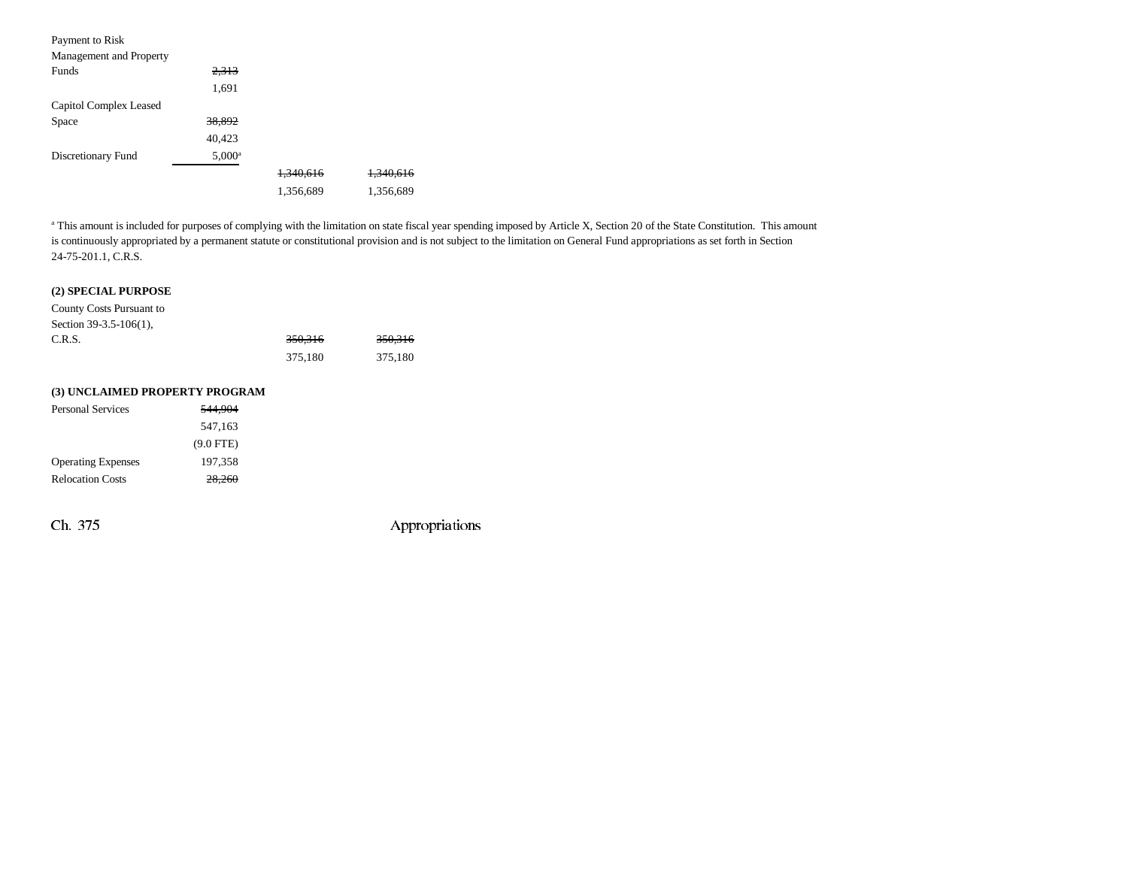| Payment to Risk         |                 |                      |                      |
|-------------------------|-----------------|----------------------|----------------------|
| Management and Property |                 |                      |                      |
| <b>Funds</b>            | 2,313           |                      |                      |
|                         | 1,691           |                      |                      |
| Capitol Complex Leased  |                 |                      |                      |
| Space                   | 38.892          |                      |                      |
|                         | 40,423          |                      |                      |
| Discretionary Fund      | $5,000^{\rm a}$ |                      |                      |
|                         |                 | <del>1.340.616</del> | <del>1.340.616</del> |
|                         |                 | 1,356,689            | 1,356,689            |

<sup>a</sup> This amount is included for purposes of complying with the limitation on state fiscal year spending imposed by Article X, Section 20 of the State Constitution. This amount is continuously appropriated by a permanent statute or constitutional provision and is not subject to the limitation on General Fund appropriations as set forth in Section 24-75-201.1, C.R.S.

### **(2) SPECIAL PURPOSE**

County Costs Pursuant to Section 39-3.5-106(1),

| C.R.S. | 350,316 | 350,316 |
|--------|---------|---------|
|        | 375.180 | 375,180 |

#### **(3) UNCLAIMED PROPERTY PROGRAM**

| <b>Personal Services</b>  | 544,904     |  |
|---------------------------|-------------|--|
|                           | 547.163     |  |
|                           | $(9.0$ FTE) |  |
| <b>Operating Expenses</b> | 197.358     |  |
| <b>Relocation Costs</b>   | 28,260      |  |

Ch. 375 Appropriations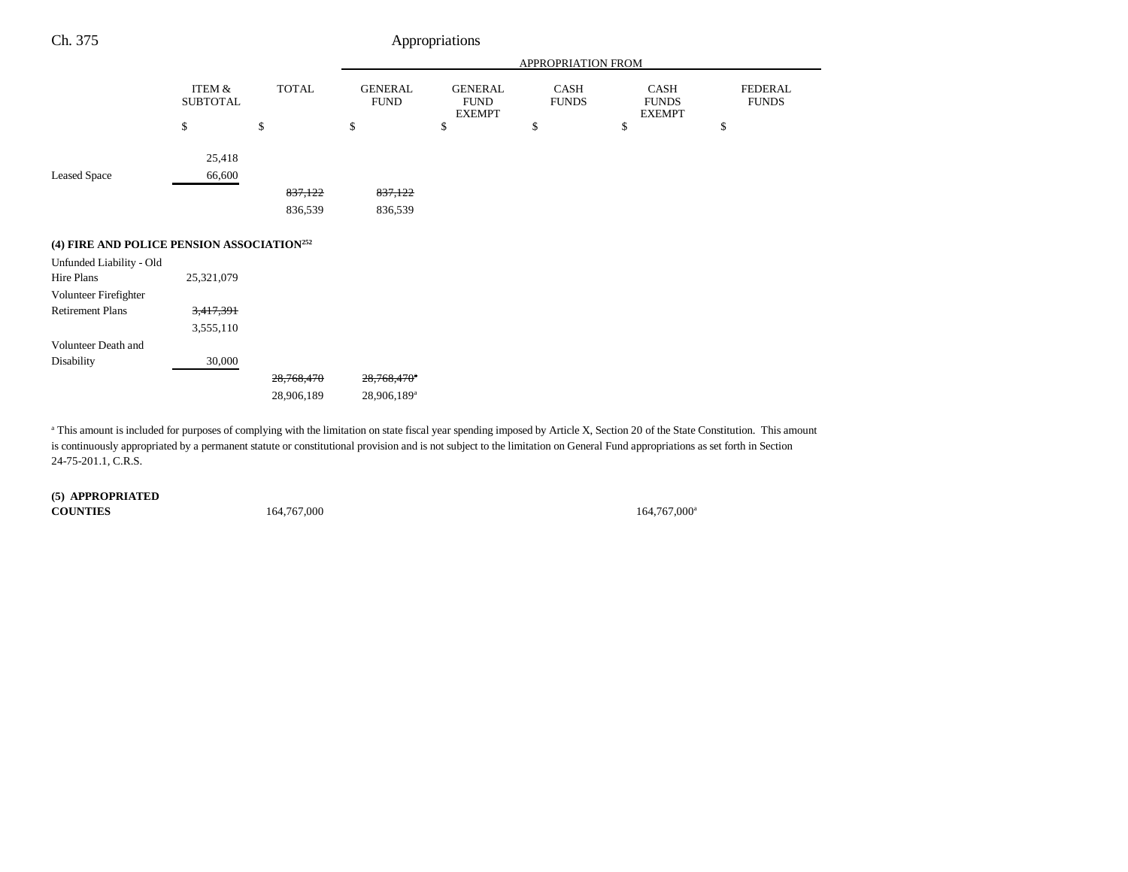| Ch. 375                                                |                           |              |                               | Appropriations                                 |                      |                                       |                                |
|--------------------------------------------------------|---------------------------|--------------|-------------------------------|------------------------------------------------|----------------------|---------------------------------------|--------------------------------|
|                                                        |                           |              | APPROPRIATION FROM            |                                                |                      |                                       |                                |
|                                                        | ITEM &<br><b>SUBTOTAL</b> | <b>TOTAL</b> | <b>GENERAL</b><br><b>FUND</b> | <b>GENERAL</b><br><b>FUND</b><br><b>EXEMPT</b> | CASH<br><b>FUNDS</b> | CASH<br><b>FUNDS</b><br><b>EXEMPT</b> | <b>FEDERAL</b><br><b>FUNDS</b> |
|                                                        | \$                        | \$           | \$                            | \$                                             | \$                   | \$                                    | \$                             |
| <b>Leased Space</b>                                    | 25,418<br>66,600          |              |                               |                                                |                      |                                       |                                |
|                                                        |                           | 837,122      | 837,122                       |                                                |                      |                                       |                                |
|                                                        |                           | 836,539      | 836,539                       |                                                |                      |                                       |                                |
| (4) FIRE AND POLICE PENSION ASSOCIATION <sup>252</sup> |                           |              |                               |                                                |                      |                                       |                                |
| Unfunded Liability - Old                               |                           |              |                               |                                                |                      |                                       |                                |
| Hire Plans                                             | 25,321,079                |              |                               |                                                |                      |                                       |                                |
| Volunteer Firefighter                                  |                           |              |                               |                                                |                      |                                       |                                |
| <b>Retirement Plans</b>                                | 3,417,391                 |              |                               |                                                |                      |                                       |                                |
|                                                        | 3,555,110                 |              |                               |                                                |                      |                                       |                                |
| Volunteer Death and                                    |                           |              |                               |                                                |                      |                                       |                                |
| Disability                                             | 30,000                    |              |                               |                                                |                      |                                       |                                |
|                                                        |                           | 28,768,470   | 28,768,470 <sup>a</sup>       |                                                |                      |                                       |                                |
|                                                        |                           | 28,906,189   | 28,906,189 <sup>a</sup>       |                                                |                      |                                       |                                |

<sup>a</sup> This amount is included for purposes of complying with the limitation on state fiscal year spending imposed by Article X, Section 20 of the State Constitution. This amount is continuously appropriated by a permanent statute or constitutional provision and is not subject to the limitation on General Fund appropriations as set forth in Section 24-75-201.1, C.R.S.

**(5) APPROPRIATED COUNTIES**

164,767,000<sup>a</sup> 164,767,000<sup>a</sup>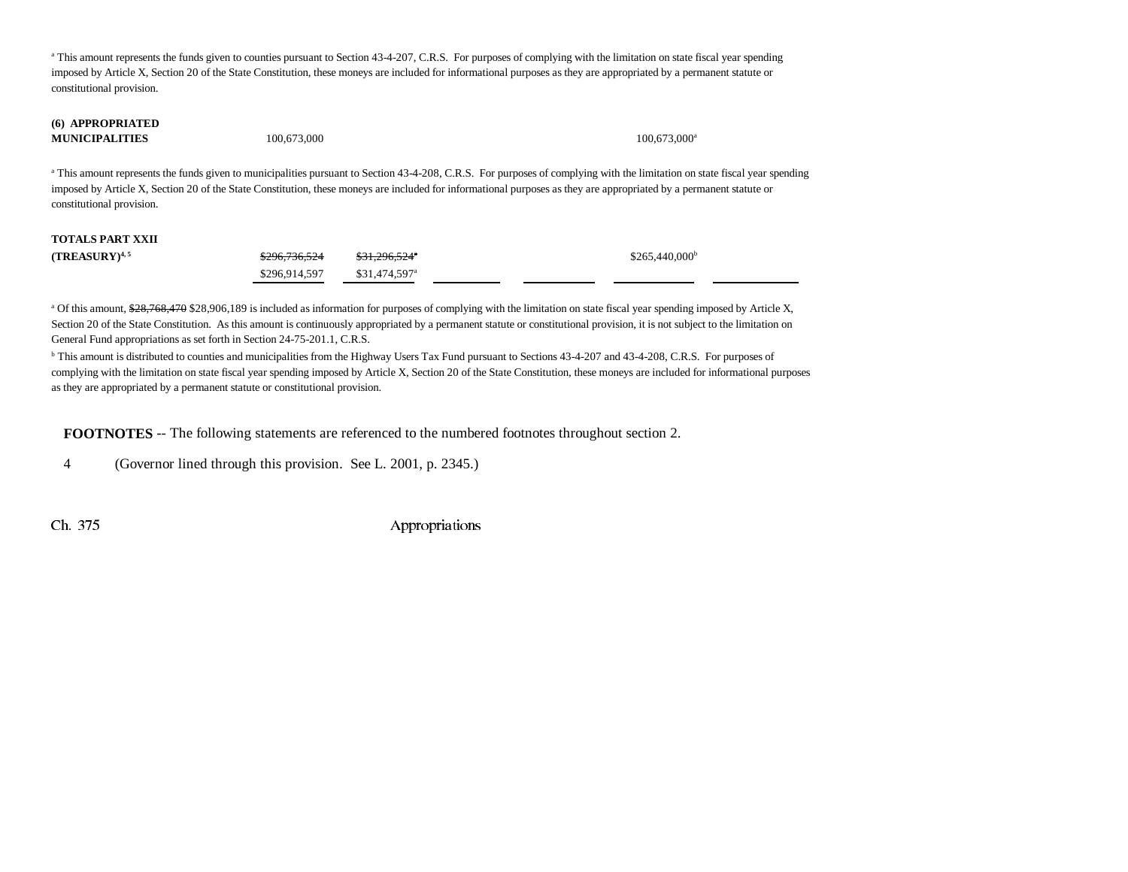<sup>a</sup> This amount represents the funds given to counties pursuant to Section 43-4-207, C.R.S. For purposes of complying with the limitation on state fiscal year spending imposed by Article X, Section 20 of the State Constitution, these moneys are included for informational purposes as they are appropriated by a permanent statute or constitutional provision.

#### **(6) APPROPRIATED MUNICIPALITIES**

100,673,000 100,673,000 100,673,000 100,673,000 100,673,000 100,673

<sup>a</sup> This amount represents the funds given to municipalities pursuant to Section 43-4-208, C.R.S. For purposes of complying with the limitation on state fiscal year spending imposed by Article X, Section 20 of the State Constitution, these moneys are included for informational purposes as they are appropriated by a permanent statute or constitutional provision.

## **TOTALS PART XXII**

| (TREASURY) $^{4,5}$ | <del>\$296,736,524</del> | <del>\$31,296,524</del> ° | \$265,440,000 <sup>b</sup> |
|---------------------|--------------------------|---------------------------|----------------------------|
|                     | \$296.914.597            | \$31.474.597 <sup>a</sup> |                            |

<sup>a</sup> Of this amount, \$28,768,470 \$28,906,189 is included as information for purposes of complying with the limitation on state fiscal year spending imposed by Article X, Section 20 of the State Constitution. As this amount is continuously appropriated by a permanent statute or constitutional provision, it is not subject to the limitation on General Fund appropriations as set forth in Section 24-75-201.1, C.R.S.

<sup>b</sup> This amount is distributed to counties and municipalities from the Highway Users Tax Fund pursuant to Sections 43-4-207 and 43-4-208, C.R.S. For purposes of complying with the limitation on state fiscal year spending imposed by Article X, Section 20 of the State Constitution, these moneys are included for informational purposes as they are appropriated by a permanent statute or constitutional provision.

**FOOTNOTES** -- The following statements are referenced to the numbered footnotes throughout section 2.

4 (Governor lined through this provision. See L. 2001, p. 2345.)

Ch. 375 Appropriations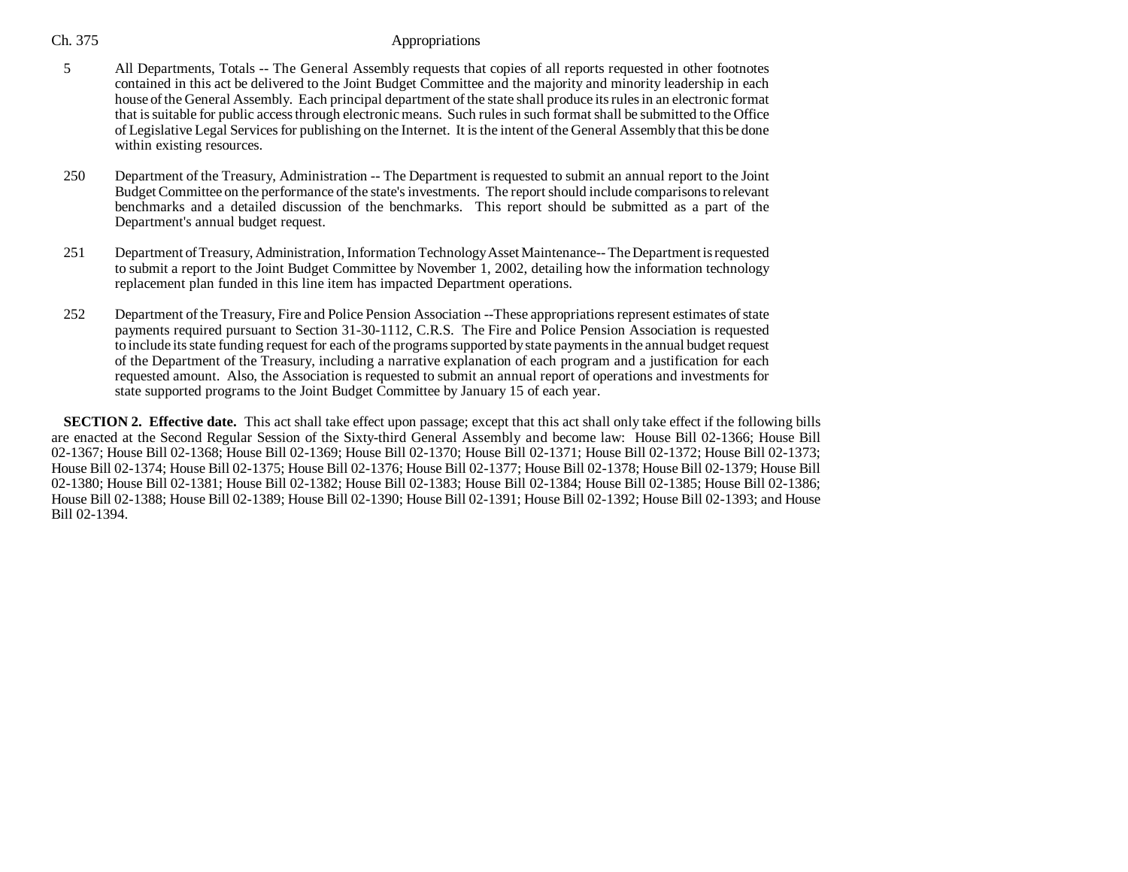## Ch. 375 Appropriations

- 5 All Departments, Totals -- The General Assembly requests that copies of all reports requested in other footnotes contained in this act be delivered to the Joint Budget Committee and the majority and minority leadership in each house of the General Assembly. Each principal department of the state shall produce its rules in an electronic format that is suitable for public access through electronic means. Such rules in such format shall be submitted to the Office of Legislative Legal Services for publishing on the Internet. It is the intent of the General Assembly that this be done within existing resources.
- 250 Department of the Treasury, Administration -- The Department is requested to submit an annual report to the Joint Budget Committee on the performance of the state's investments. The report should include comparisons to relevant benchmarks and a detailed discussion of the benchmarks. This report should be submitted as a part of the Department's annual budget request.
- 251 Department of Treasury, Administration, Information Technology Asset Maintenance-- The Department is requested to submit a report to the Joint Budget Committee by November 1, 2002, detailing how the information technology replacement plan funded in this line item has impacted Department operations.
- 252 Department of the Treasury, Fire and Police Pension Association --These appropriations represent estimates of state payments required pursuant to Section 31-30-1112, C.R.S. The Fire and Police Pension Association is requested to include its state funding request for each of the programs supported by state payments in the annual budget request of the Department of the Treasury, including a narrative explanation of each program and a justification for each requested amount. Also, the Association is requested to submit an annual report of operations and investments for state supported programs to the Joint Budget Committee by January 15 of each year.

**SECTION 2. Effective date.** This act shall take effect upon passage; except that this act shall only take effect if the following bills are enacted at the Second Regular Session of the Sixty-third General Assembly and become law: House Bill 02-1366; House Bill 02-1367; House Bill 02-1368; House Bill 02-1369; House Bill 02-1370; House Bill 02-1371; House Bill 02-1372; House Bill 02-1373; House Bill 02-1374; House Bill 02-1375; House Bill 02-1376; House Bill 02-1377; House Bill 02-1378; House Bill 02-1379; House Bill 02-1380; House Bill 02-1381; House Bill 02-1382; House Bill 02-1383; House Bill 02-1384; House Bill 02-1385; House Bill 02-1386; House Bill 02-1388; House Bill 02-1389; House Bill 02-1390; House Bill 02-1391; House Bill 02-1392; House Bill 02-1393; and House Bill 02-1394.